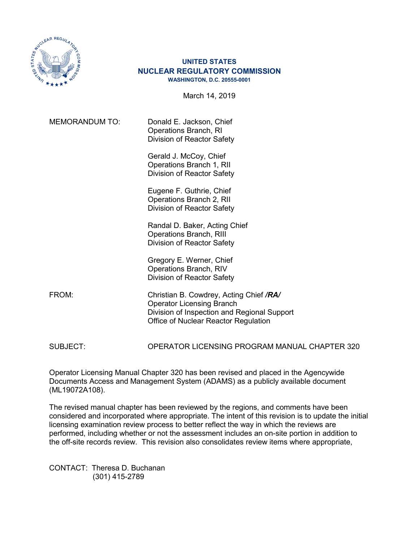

## **UNITED STATES NUCLEAR REGULATORY COMMISSION WASHINGTON, D.C. 20555-0001**

March 14, 2019

MEMORANDUM TO: Donald E. Jackson, Chief Operations Branch, RI Division of Reactor Safety

> Gerald J. McCoy, Chief Operations Branch 1, RII Division of Reactor Safety

> Eugene F. Guthrie, Chief Operations Branch 2, RII Division of Reactor Safety

Randal D. Baker, Acting Chief Operations Branch, RIII Division of Reactor Safety

Gregory E. Werner, Chief Operations Branch, RIV Division of Reactor Safety

FROM: Christian B. Cowdrey, Acting Chief */RA/* Operator Licensing Branch Division of Inspection and Regional Support Office of Nuclear Reactor Regulation

SUBJECT: OPERATOR LICENSING PROGRAM MANUAL CHAPTER 320

Operator Licensing Manual Chapter 320 has been revised and placed in the Agencywide Documents Access and Management System (ADAMS) as a publicly available document (ML19072A108).

The revised manual chapter has been reviewed by the regions, and comments have been considered and incorporated where appropriate. The intent of this revision is to update the initial licensing examination review process to better reflect the way in which the reviews are performed, including whether or not the assessment includes an on-site portion in addition to the off-site records review. This revision also consolidates review items where appropriate,

CONTACT: Theresa D. Buchanan (301) 415-2789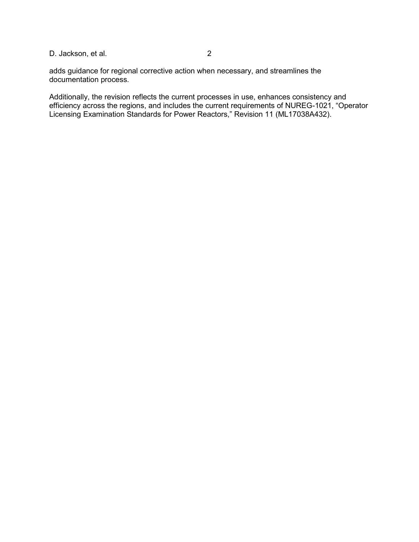## D. Jackson, et al. 2

adds guidance for regional corrective action when necessary, and streamlines the documentation process.

Additionally, the revision reflects the current processes in use, enhances consistency and efficiency across the regions, and includes the current requirements of NUREG-1021, "Operator Licensing Examination Standards for Power Reactors," Revision 11 (ML17038A432).